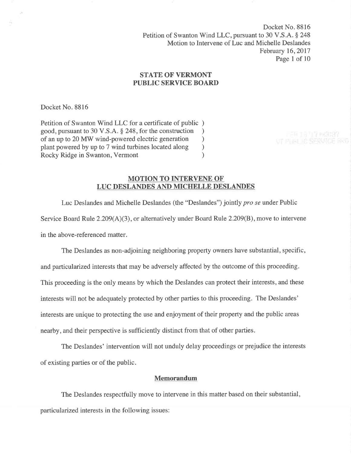Docket No. 8816 Petition of Swanton Wind LLC, pursuant to 30 V.S.A. § 248 Motion to Intervene of Luc and Michelle Deslandes February 16,2011 Page I of <sup>10</sup>

# **STATE OF VERMONT** PUBLIC SERVICE BOARD

Docket No. 8816

Petition of Swanton Wind LLC for a certificate of public ) good, pursuant to 30 V.S.A. § 248, for the construction <br>of an up to 20 MW wind-powered electric generation ) of an up to 20 MW wind-powered electric generation ) plant powered by up to 7 wind turbines located along (a) Rocky Ridge in Swanton, Vermont Rocky Ridge in Swanton, Vermont

## MOTION TO INTERVENE OF LUC DESLANDES AND MICHELLE DESLANDES

Luc Deslandes and Michelle Deslandes (the "Deslandes") jointly pro se under Public

Service Board Rule  $2.209(A)(3)$ , or alternatively under Board Rule  $2.209(B)$ , move to intervene in the above-referenced matter.

The Deslandes as non-adjoining neighboring property owners have substantial, specific, and particularized interests that may be adversely affected by the outcome of this proceeding. This proceeding is the only means by which the Deslandes can protect their interests, and these interests will not be adequately protected by other parties to this proceeding. The Deslandes' interests are unique to protecting the use and enjoyment of their property and the public areas nearby, and their perspective is sufficiently distinct from that of other parties.

The Deslandes' intervention will not unduly delay proceedings or prejudice the interests of existing parties or of the public.

# Memorandum

The Deslandes respectfully move to intervene in this matter based on their substantial, particularized interests in the following issues: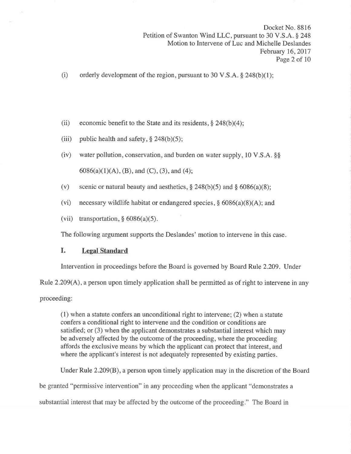- (i) orderly development of the region, pursuant to 30 V.S.A.  $\S$  248(b)(1);
- (ii) economic benefit to the State and its residents,  $\S$  248(b)(4);
- (iii) public health and safety,  $§$  248(b)(5);
- (iv) water pollution, conservation, and burden on water supply, 10 V.S.A.  $\S$  $6086(a)(1)(A)$ , (B), and (C), (3), and (4);
- (v) scenic or natural beauty and aesthetics,  $\S 248(b)(5)$  and  $\S 6086(a)(8)$ ;
- (vi) necessary wildlife habitat or endangered species,  $\S$  6086(a)(8)(A); and
- (vii) transportation,  $§ 6086(a)(5)$ .

The following argument supports the Deslandes' motion to intervene in this case.

# I. Legal Standard

Intervention in proceedings before the Board is governed by Board Rule 2.209. Under

Rule 2.209(A), a person upon timely application shall be permitted as of right to intervene in any

proceeding:

(1) when a statute confers an unconditional right to intervene; (2) when a statute confers a conditional right to intervene and the condition or conditions are satisfied; or (3) when the applicant demonstrates a substantial interest which may be adversely affected by the outcome of the proceeding, where the proceeding affords the exclusive means by which the applicant can protect that interest, and where the applicant's interest is not adequately represented by existing parties.

Under Rule 2.209(8), a person upon timely application may in the discretion of the Board

be granted "permissive intervention" in any proceeding when the applicant "demonstrates a

substantial interest that may be affected by the outcome of the proceeding." The Board in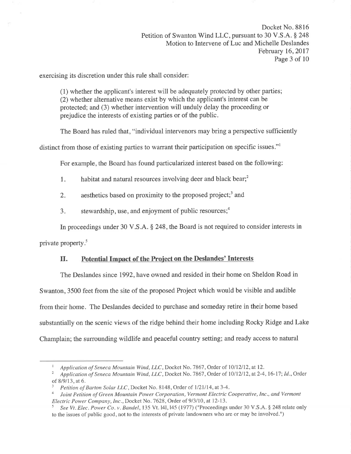Docket No. 881b Petition of Swanton Wind LLC, pursuant to 30 V.S.A. § 248 Motion to Intervene of Luc and Michelle Deslandes February 16,2017 Page 3 of 10

exercising its discretion under this rule shall consider:

(l) whether the applicant's interest will be adequately protected by other parties; (2) whether alternative means exist by which the applicant's interest can be protected; and (3) whether intervention will unduly delay the proceeding or prejudice the interests of existing parties or of the public.

The Board has ruled that, "individual intervenors may bring a perspective sufficiently

distinct from those of existing parties to warrant their participation on specific issues."

For example, the Board has found particularized interest based on the following:

1. habitat and natural resources involving deer and black bear; $<sup>2</sup>$ </sup>

2. aesthetics based on proximity to the proposed project;<sup>3</sup> and

3. stewardship, use, and enjoyment of public resources; $<sup>4</sup>$ </sup>

In proceedings under 30 V.S.A. \$ 248, the Board is not required to consider interests in

private property.<sup>5</sup>

# II. Potential Impact of the Project on the Deslandes' Interests

The Deslandes since 1992, have owned and resided in their home on Sheldon Road in Swanton, 3500 feet from the site of the proposed Project which would be visible and audible from their home. The Deslandes decided to purchase and someday retire in their home based substantially on the scenic views of the ridge behind their home including Rocky Ridge and Lake Champlain; the surrounding wildlife and peaceful country setting; and ready access to natural

Application of Seneca Mountain Wind, LLC, Docket No. 7867, Order of 10/12/12, at 12.<br>Application of Seneca Mountain Wind, LLC, Docket No. 7867, Order of 10/12/12, at 2-4, 16-17; Id., Order of 8/9/13, at 6.  $\frac{3}{P}$  Petition of Barton Solar LLC, Docket No. 8148, Order of 1/21/14, at 3-4.

<sup>&</sup>lt;sup>4</sup> Joint Petition of Green Mountain Power Corporation, Vermont Electric Cooperative, Inc., and Vermont Electric Power Company, Inc., Docket No. 7628, Order of 9/3/10, at 12-13.

See Vt. Elec. Power Co. v. Bandel, 135 Vt. 141, 145 (1977) ("Proceedings under 30 V.S.A. § 248 relate only to the issues of public good, not to the interests of private landowners who are or may be involved.")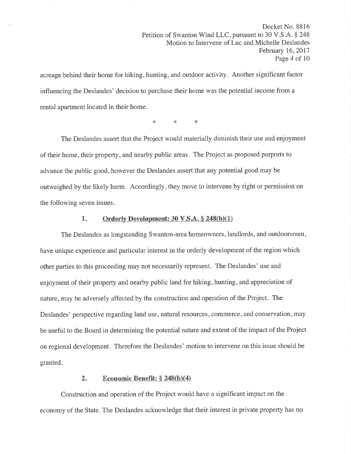Docket No. 8816 Petition of Swanton Wind LLC, pursuant to 30 V.S.A. § 248 Motion to Intervene of Luc and Michelle Deslandes February 16,2017 Page 4 of 10

acreage behind their home for hiking, hunting, and outdoor activity. Another significant factor influencing the Deslandes' decision to purchase their home was the potential income from a rental apartment located in their home.

\* t< \*

The Deslandes assert that the Project would materially diminish their use and enjoyment of their home, their property, and nearby public areas. The Project as proposed purports to advance the public good, however the Deslandes assert that any potential good may be outweighed by the likely harm. Accordingly, they move to intervene by right or permission on the following seven issues.

## 1. Orderly Development:  $30 \text{ V.S.A.} \$   $248(b)(1)$

The Deslandes as longstanding Swanton-area homeowners, landlords, and outdoorsmen, have unique experience and particular interest in the orderly development of the region which other parties to this proceeding may not necessarily represent. The Deslandes' use and enjoyment of their property and nearby public land for hiking, hunting, and appreciation of nature, may be adversely affected by the construction and operation of the Project. The Deslandes' perspective regarding land use, natural resources, commerce, and conservation, may be useful to the Board in determining the potential nature and extent of the impact of the Project on regional development. Therefore the Deslandes' motion to intervene on this issue should be granted.

# 2. Economic Benefit:  $\S 248(b)(4)$

Construction and operation of the Project would have a significant impact on the economy of the State. The Deslandes acknowledge that their interest in private property has no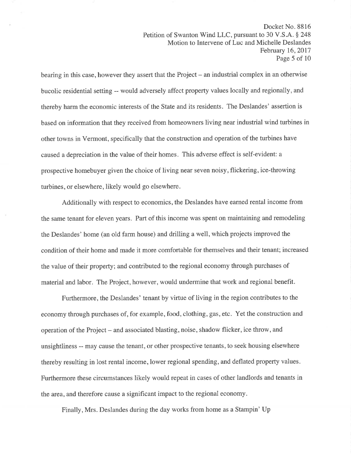bearing in this case, however they assert that the Project  $-$  an industrial complex in an otherwise bucolic residential setting -- would adversely affect property values locally and regionally, and thereby harm the economic interests of the State and its residents. The Deslandes' assertion is based on information that they received from homeowners living near industrial wind turbines in other towns in Vermont, specifically that the construction and operation of the turbines have caused a depreciation in the value of their homes. This adverse effect is self-evident: a prospective homebuyer given the choice of living near seven noisy, flickering, ice-throwing turbines, or elsewhere, likely would go elsewhere.

Additionally with respect to economics, the Deslandes have earned rental income from the same tenant for eleven years. Part of this income was spent on maintaining and remodeling the Deslandes' home (an old farm house) and drilling a well, which projects improved the condition of their home and made it more comfortable for themselves and their tenant; increased the value of their property; and contributed to the regional economy through purchases of material and labor. The Project, however, would undermine that work and regional benefit.

Furthermore, the Deslandes' tenant by virtue of living in the region contributes to the economy through purchases of, for example, food, clothing, gas, etc. Yet the construction and operation of the Project - and associated blasting, noise, shadow flicker, ice throw, and unsightliness -- may cause the tenant, or other prospective tenants, to seek housing elsewhere thereby resulting in lost rental income, lower regional spending, and deflated property values. Furthermore these circumstances likely would repeat in cases of other landlords and tenants in the area, and therefore cause a significant impact to the regional economy.

Finally, Mrs. Deslandes during the day works from home as a Stampin' Up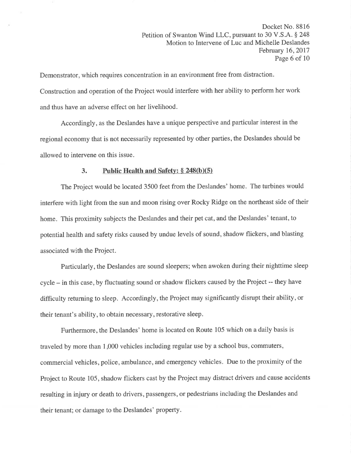Demonstrator, which requires concentration in an environment free from distraction. Construction and operation of the Project would interfere with her ability to perform her work and thus have an adverse effect on her livelihood.

Accordingly, as the Deslandes have a unique perspective and particular interest in the regional economy that is not necessarily represented by other parties, the Deslandes should be allowed to intervene on this issue.

## 3. Public Health and Safety:  $\S$  248(b)(5)

The Project would be located 3500 feet from the Deslandes' home. The turbines would interfere with light from the sun and moon rising over Rocky Ridge on the northeast side of their home. This proximity subjects the Deslandes and their pet cat, and the Deslandes' tenant, to potential health and safety risks caused by undue levels of sound, shadow flickers, and blasting associated with the Project.

Particularly, the Deslandes are sound sleepers; when awoken during their nighttime sleep cycle - in this case, by fluctuating sound or shadow flickers caused by the Project -- they have difficulty returning to sleep. Accordingly, the Project may significantly disrupt their ability, or their tenant's ability, to obtain necessary, restorative sleep.

Furthermore, the Deslandes' home is located on Route 105 which on a daily basis is traveled by more than 1,000 vehicles including regular use by a school bus, commuters, commercial vehicles, police, ambulance, and emergency vehicles. Due to the proximity of the Project to Route 105, shadow flickers cast by the Project may distract drivers and cause accidents resulting in injury or death to drivers, passengers, or pedestrians including the Deslandes and their tenant; or damage to the Deslandes' property.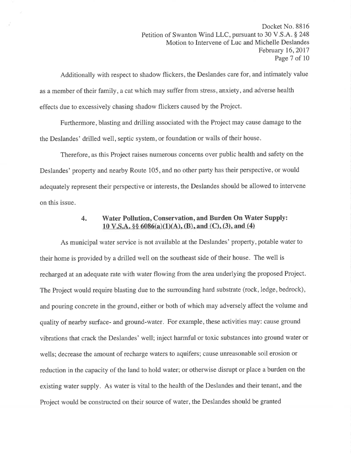Additionally with respect to shadow flickers, the Deslandes care for, and intimately value as a member of their family, a cat which may suffer from stress, anxiety, and adverse health effects due to excessively chasing shadow flickers caused by the Project.

Furthermore, blasting and drilling associated with the Project may cause damage to the the Deslandes' drilled well, septic system, or foundation or walls of their house.

Therefore, as this Project raises numerous concerns over public health and safety on the Deslandes' property and nearby Route 105, and no other party has their perspective, or would adequately represent their perspective or interests, the Deslandes should be allowed to intervene on this issue.

# 4. Water Pollution, Conservation, and Burden On Water Supply: 10 V.S.A.  $\S\S 6086(a)(1)(A)$ , (B), and (C), (3), and (4)

As municipal water service is not available at the Deslandes' property, potable water to their home is provided by a drilled well on the southeast side of their house. The well is recharged at an adequate rate with water flowing from the area underlying the proposed Project. The Project would require blasting due to the surrounding hard substrate (rock, ledge, bedrock), and pouring concrete in the ground, either or both of which may adversely affect the volume and quality of nearby surface- and ground-water. For example, these activities may: cause ground vibrations that crack the Deslandes' well; inject harmful or toxic substances into ground water or wells; decrease the amount of recharge waters to aquifers; cause unreasonable soil erosion or reduction in the capacity of the land to hold water; or otherwise disrupt or place a burden on the existing water supply. As water is vital to the health of the Deslandes and their tenant, and the Project would be constructed on their source of water, the Deslandes should be granted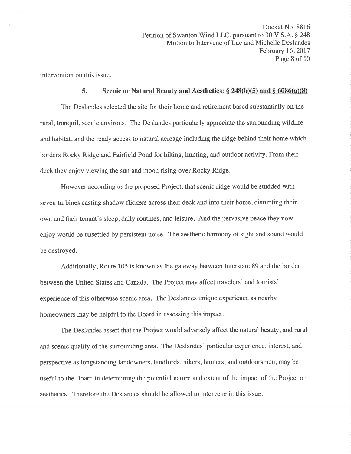intervention on this issue.

### 5. Scenic or Natural Beauty and Aesthetics:  $\S 248(b)(5)$  and  $\S 6086(a)(8)$

The Deslandes selected the site for their home and retirement based substantially on the rural, tranquil, scenic environs. The Deslandes particularly appreciate the surrounding wildlife and habitat, and the ready access to natural acreage including the ridge behind their home which borders Rocky Ridge and Fairfield Pond for hiking, hunting, and outdoor activity. From their deck they enjoy viewing the sun and moon rising over Rocky Ridge.

However according to the proposed Project, that scenic ridge would be studded with seven turbines casting shadow flickers across their deck and into their home, disrupting their own and their tenant's sleep, daily routines, and leisure. And the pervasive peace they now enjoy would be unsettled by persistent noise. The aesthetic harmony of sight and sound would be destroyed.

Additionally, Route 105 is known as the gateway between Interstate 89 and the border between the United States and Canada. The Project may affect travelers' and tourists' experience of this otherwise scenic area. The Deslandes unique experience as nearby homeowners may be helpful to the Board in assessing this impact.

The Deslandes assert that the Project would adversely affect the natural beauty, and rural and scenic quality of the surrounding area. The Deslandes' particular experience, interest, and perspective as longstanding landowners, landlords, hikers, hunters, and outdoorsmen, may be useful to the Board in determining the potential nature and extent of the impact of the Project on aesthetics. Therefore the Deslandes should be allowed to intervene in this issue.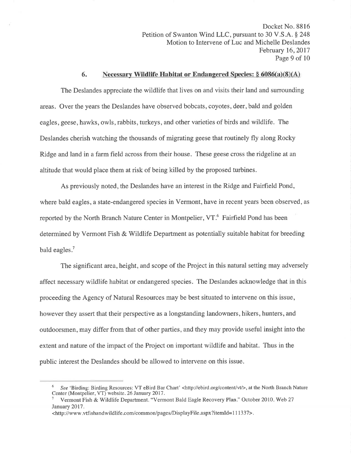Docket No. 8816 Petition of Swanton Wind LLC, pursuant to 30 V.S.A. § 248 Motion to Intervene of Luc and Michelle Deslandes February 16,2017 Page 9 of 10

### 6. Necessary Wildlife Habitat or Endangered Species:  $\S 6086(a)(8)(A)$

The Deslandes appreciate the wildlife that lives on and visits their land and surrounding areas. Over the years the Deslandes have observed bobcats, coyotes, deer, bald and golden eagles, geese, hawks, owls, rabbits, turkeys, and other varieties of birds and wildlife. The Deslandes cherish watching the thousands of migrating geese that routinely fly along Rocky Ridge and land in a farm field across from their house. These geese cross the ridgeline at an altitude that would place them at risk of being killed by the proposed turbines.

As previously noted, the Deslandes have an interest in the Ridge and Fairfield Pond, where bald eagles, a state-endangered species in Vermont, have in recent years been observed, as reported by the North Branch Nature Center in Montpelier, VT.<sup>6</sup> Fairfield Pond has been determined by Vermont Fish & Wildlife Department as potentially suitable habitat for breeding bald eagles.<sup>7</sup>

The significant area, height, and scope of the Project in this natural setting may adversely affect necessary wildlife habitat or endangered species. The Deslandes acknowledge that in this proceeding the Agency of Natural Resources may be best situated to intervene on this issue, however they assert that their perspective as a longstanding landowners, hikers, hunters, and outdoorsmen, may differ from that of other parties, and they may provide useful insight into the extent and nature of the impact of the Project on important wildlife and habitat. Thus in the public interest the Deslandes should be allowed to intervene on this issue.

<sup>&</sup>lt;sup>6</sup> See 'Birding: Birding Resources: VT eBird Bar Chart' <http://ebird.org/content/vt/>, at the North Branch Nature Center (Montpelier, VT) website. 26 January 2017.<br><sup>7</sup> Vermont Fish & Wildlife Department. "Vermont Bald Eagle Recovery Plan." October 2010. Web 27

January 2017.

<sup>&</sup>lt;http://www.vtfishandwildlife.com/common/pages/DisplayFile.aspx?itemld=l 11337>.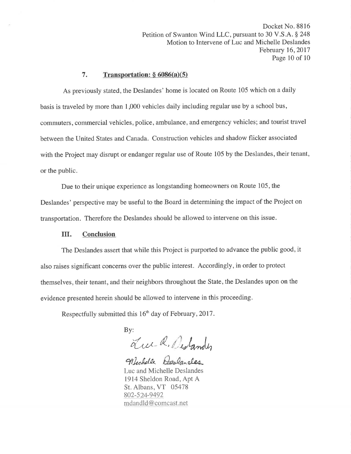Docket No. 8816 Petition of Swanton Wind LLC, pursuant to 30 V.S.A. § 248 Motion to Intervene of Luc and Michelle Deslandes February 16,2017 Page 10 of 10

## 7. Transportation:  $§ 6086(a)(5)$

As previously stated, the Deslandes' home is located on Route 105 which on a daily basis is traveled by more than 1,000 vehicles daily including regular use by a school bus, commuters, commercial vehicles, police, ambulance, and emergency vehicles; and tourist travel between the United States and Canada. Construction vehicles and shadow flicker associated with the Project may disrupt or endanger regular use of Route 105 by the Deslandes, their tenant, or the public.

Due to their unique experience as longstanding homeowners on Route 105, the Deslandes' perspective may be useful to the Board in determining the impact of the Project on transportation. Therefore the Deslandes should be allowed to intervene on this issue.

### III. Conclusion

The Deslandes assert that while this Project is purported to advance the public good, it also raises significant concerns over the public interest. Accordingly, in order to protect themselves, their tenant, and their neighbors throughout the State, the Deslandes upon on the evidence presented herein should be allowed to intervene in this proceeding.

Respectfully submitted this  $16<sup>th</sup>$  day of February, 2017.

By:

Luce R. Dislandes

Michelle Doslandes

Luc and Michelle Deslandes 1914 Sheldon Road, Apt A St. Albans, VT 05478 802-524-9492 mdandld@comcast.net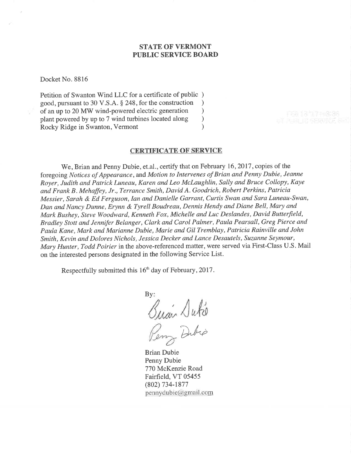# STATE OF VERMONT PUBLIC SERVICE BOARD

Docket No. 8816

Petition of Swanton Wind LLC for a certificate of public ) good, pursuant to 30 V.S.A. § 248, for the construction <br>of an up to 20 MW wind-powered electric generation  $\qquad$ of an up to 20 MW wind-powered electric generation <br>plant powered by up to 7 wind turbines located along  $)$ plant powered by up to 7 wind turbines located along <br>Rocky Ridge in Swanton, Vermont (1) Rocky Ridge in Swanton, Vermont )

#### CERTIFICATE OF SERVICE

We, Brian and Penny Dubie, et.al., certify that on February 16, 2017, copies of the foregoing Notices of Appearance, and Motion to Intervenes of Brian and Penny Dubie, Jeanne Royer, Judith and Patrick Luneau, Karen and Leo Mclaughlin, Sally and Bruce Collopy, Kaye and Frank B. Mehaffey, Jr., Terrance Smith, David A. Goodrich, Robert Perkins, Patricia Messier, Sarah & Ed Ferguson, Ian and Danielle Garrant, Curtis Swan and Sara Luneau-Swan, Dan and Nancy Dunne, Erynn & Tyrell Boudreau, Dennis Hendy ønd Diane Bell, Mary and Mark Bushey, Steve Woodward, Kenneth Fox, Michelle and Luc Deslandes, David Butterfield, Bradley Stott and Jennifer Belanger, Clark and Carol Palmer, Paula Pearsall, Greg Pierce and Paula Kane, Mark and Marianne Dubie, Marie and Gil Tremblay, Patricia Rainville and John Smith, Kevin and Dolores Nichols, Jessica Decker and Lance Desautels, Suzanne Seymour, Mary Hunter, Todd Poirier in the above-referenced matter, were served via First-Class U.S. Mail on the interested persons designated in the following Service List.

Respectfully submitted this 16<sup>th</sup> day of February, 2017.

By: Årlú

Dibio

Brian Dubie Penny Dubie 770 McKenzie Road Fairfield, VT 05455 (802) 734-t877  $pennydubic@genail.com$